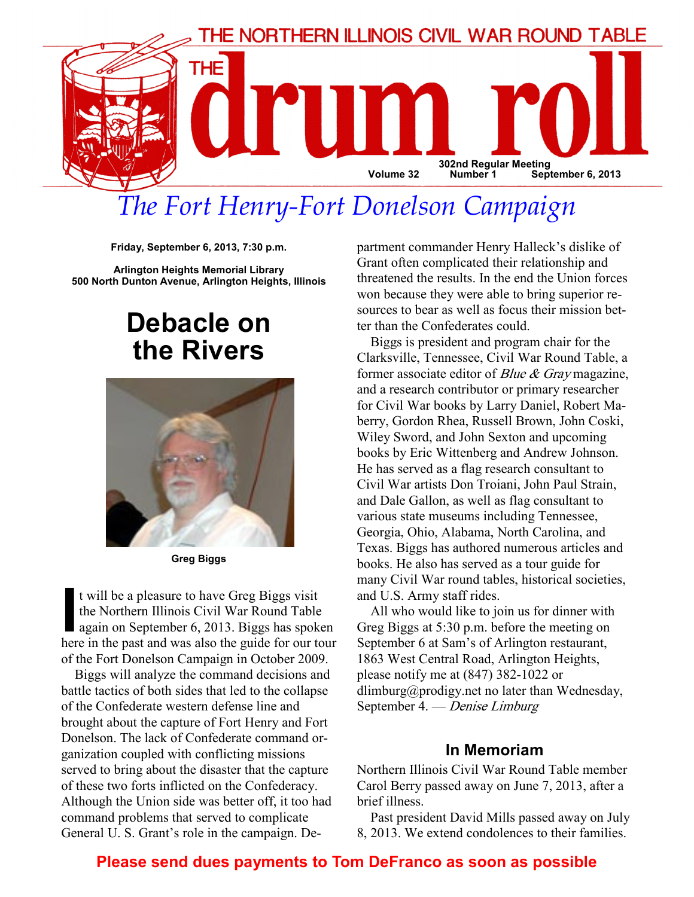

# The Fort Henry-Fort Donelson Campaign

Friday, September 6, 2013, 7:30 p.m.

Arlington Heights Memorial Library 500 North Dunton Avenue, Arlington Heights, Illinois

# Debacle on the Rivers



Greg Biggs

t will be a pleasure to have Greg Biggs visit<br>the Northern Illinois Civil War Round Table<br>again on September 6, 2013. Biggs has spok<br>here in the nast and was also the quide for our to the Northern Illinois Civil War Round Table again on September 6, 2013. Biggs has spoken here in the past and was also the guide for our tour of the Fort Donelson Campaign in October 2009.

Biggs will analyze the command decisions and battle tactics of both sides that led to the collapse of the Confederate western defense line and brought about the capture of Fort Henry and Fort Donelson. The lack of Confederate command organization coupled with conflicting missions served to bring about the disaster that the capture of these two forts inflicted on the Confederacy. Although the Union side was better off, it too had command problems that served to complicate General U. S. Grant's role in the campaign. Department commander Henry Halleck's dislike of Grant often complicated their relationship and threatened the results. In the end the Union forces won because they were able to bring superior resources to bear as well as focus their mission better than the Confederates could.

Biggs is president and program chair for the Clarksville, Tennessee, Civil War Round Table, a former associate editor of *Blue & Gray* magazine, and a research contributor or primary researcher for Civil War books by Larry Daniel, Robert Maberry, Gordon Rhea, Russell Brown, John Coski, Wiley Sword, and John Sexton and upcoming books by Eric Wittenberg and Andrew Johnson. He has served as a flag research consultant to Civil War artists Don Troiani, John Paul Strain, and Dale Gallon, as well as flag consultant to various state museums including Tennessee, Georgia, Ohio, Alabama, North Carolina, and Texas. Biggs has authored numerous articles and books. He also has served as a tour guide for many Civil War round tables, historical societies, and U.S. Army staff rides.

All who would like to join us for dinner with Greg Biggs at 5:30 p.m. before the meeting on September 6 at Sam's of Arlington restaurant, 1863 West Central Road, Arlington Heights, please notify me at (847) 382-1022 or dlimburg@prodigy.net no later than Wednesday, September 4. — Denise Limburg

#### In Memoriam

Northern Illinois Civil War Round Table member Carol Berry passed away on June 7, 2013, after a brief illness.

Past president David Mills passed away on July 8, 2013. We extend condolences to their families.

# Please send dues payments to Tom DeFranco as soon as possible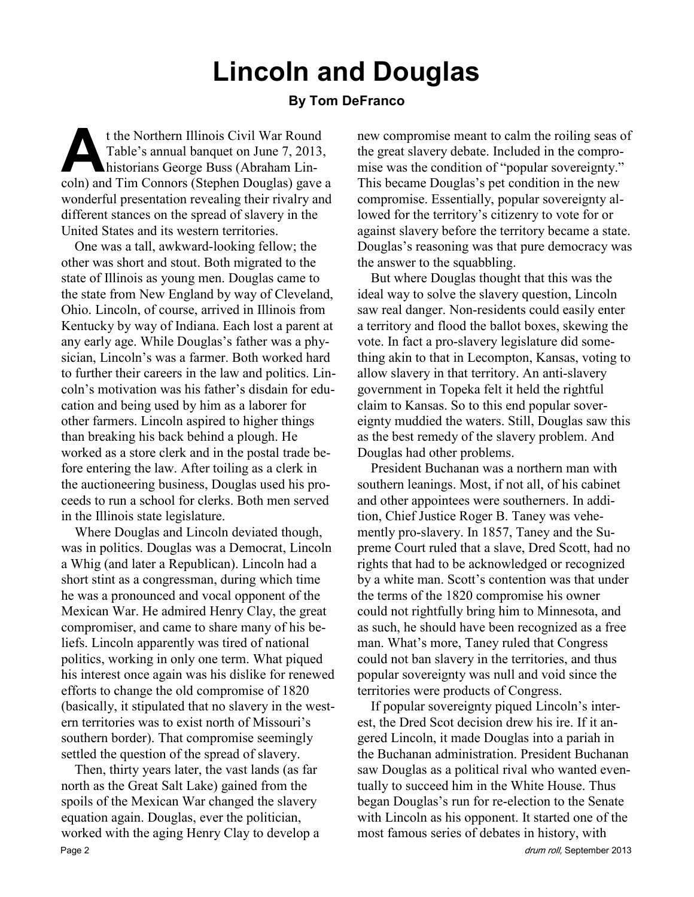# Lincoln and Douglas

#### By Tom DeFranco

t the Northern Illinois Civil War Round<br>Table's annual banquet on June 7, 2013,<br>historians George Buss (Abraham Lincoln) and Tim Connors (Stephen Douglas) gave Table's annual banquet on June 7, 2013, historians George Buss (Abraham Lincoln) and Tim Connors (Stephen Douglas) gave a wonderful presentation revealing their rivalry and different stances on the spread of slavery in the United States and its western territories.

One was a tall, awkward-looking fellow; the other was short and stout. Both migrated to the state of Illinois as young men. Douglas came to the state from New England by way of Cleveland, Ohio. Lincoln, of course, arrived in Illinois from Kentucky by way of Indiana. Each lost a parent at any early age. While Douglas's father was a physician, Lincoln's was a farmer. Both worked hard to further their careers in the law and politics. Lincoln's motivation was his father's disdain for education and being used by him as a laborer for other farmers. Lincoln aspired to higher things than breaking his back behind a plough. He worked as a store clerk and in the postal trade before entering the law. After toiling as a clerk in the auctioneering business, Douglas used his proceeds to run a school for clerks. Both men served in the Illinois state legislature.

Where Douglas and Lincoln deviated though, was in politics. Douglas was a Democrat, Lincoln a Whig (and later a Republican). Lincoln had a short stint as a congressman, during which time he was a pronounced and vocal opponent of the Mexican War. He admired Henry Clay, the great compromiser, and came to share many of his beliefs. Lincoln apparently was tired of national politics, working in only one term. What piqued his interest once again was his dislike for renewed efforts to change the old compromise of 1820 (basically, it stipulated that no slavery in the western territories was to exist north of Missouri's southern border). That compromise seemingly settled the question of the spread of slavery.

Then, thirty years later, the vast lands (as far north as the Great Salt Lake) gained from the spoils of the Mexican War changed the slavery equation again. Douglas, ever the politician, worked with the aging Henry Clay to develop a Page 2 drum roll, September 2013

new compromise meant to calm the roiling seas of the great slavery debate. Included in the compromise was the condition of "popular sovereignty." This became Douglas's pet condition in the new compromise. Essentially, popular sovereignty allowed for the territory's citizenry to vote for or against slavery before the territory became a state. Douglas's reasoning was that pure democracy was the answer to the squabbling.

But where Douglas thought that this was the ideal way to solve the slavery question, Lincoln saw real danger. Non-residents could easily enter a territory and flood the ballot boxes, skewing the vote. In fact a pro-slavery legislature did something akin to that in Lecompton, Kansas, voting to allow slavery in that territory. An anti-slavery government in Topeka felt it held the rightful claim to Kansas. So to this end popular sovereignty muddied the waters. Still, Douglas saw this as the best remedy of the slavery problem. And Douglas had other problems.

President Buchanan was a northern man with southern leanings. Most, if not all, of his cabinet and other appointees were southerners. In addition, Chief Justice Roger B. Taney was vehemently pro-slavery. In 1857, Taney and the Supreme Court ruled that a slave, Dred Scott, had no rights that had to be acknowledged or recognized by a white man. Scott's contention was that under the terms of the 1820 compromise his owner could not rightfully bring him to Minnesota, and as such, he should have been recognized as a free man. What's more, Taney ruled that Congress could not ban slavery in the territories, and thus popular sovereignty was null and void since the territories were products of Congress.

If popular sovereignty piqued Lincoln's interest, the Dred Scot decision drew his ire. If it angered Lincoln, it made Douglas into a pariah in the Buchanan administration. President Buchanan saw Douglas as a political rival who wanted eventually to succeed him in the White House. Thus began Douglas's run for re-election to the Senate with Lincoln as his opponent. It started one of the most famous series of debates in history, with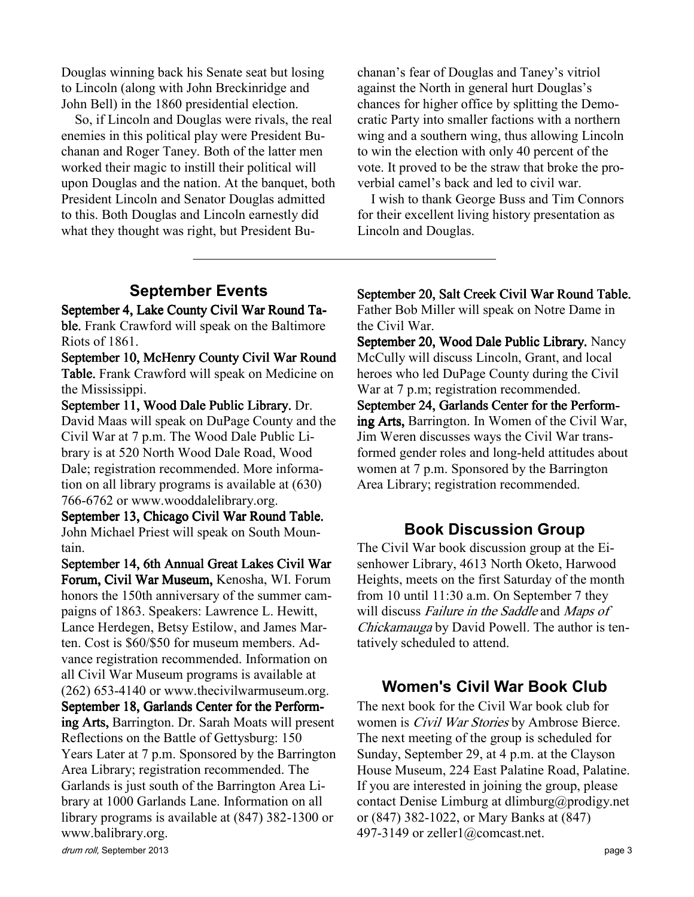Douglas winning back his Senate seat but losing to Lincoln (along with John Breckinridge and John Bell) in the 1860 presidential election.

So, if Lincoln and Douglas were rivals, the real enemies in this political play were President Buchanan and Roger Taney. Both of the latter men worked their magic to instill their political will upon Douglas and the nation. At the banquet, both President Lincoln and Senator Douglas admitted to this. Both Douglas and Lincoln earnestly did what they thought was right, but President Bu-

chanan's fear of Douglas and Taney's vitriol against the North in general hurt Douglas's chances for higher office by splitting the Democratic Party into smaller factions with a northern wing and a southern wing, thus allowing Lincoln to win the election with only 40 percent of the vote. It proved to be the straw that broke the proverbial camel's back and led to civil war.

I wish to thank George Buss and Tim Connors for their excellent living history presentation as Lincoln and Douglas.

### September Events

September 4, Lake County Civil War Round Table. Frank Crawford will speak on the Baltimore Riots of 1861.

September 10, McHenry County Civil War Round Table. Frank Crawford will speak on Medicine on the Mississippi.

September 11, Wood Dale Public Library. Dr. David Maas will speak on DuPage County and the Civil War at 7 p.m. The Wood Dale Public Library is at 520 North Wood Dale Road, Wood Dale; registration recommended. More information on all library programs is available at (630) 766-6762 or www.wooddalelibrary.org.

September 13, Chicago Civil War Round Table. John Michael Priest will speak on South Mountain.

September 14, 6th Annual Great Lakes Civil War Forum, Civil War Museum, Kenosha, WI. Forum honors the 150th anniversary of the summer campaigns of 1863. Speakers: Lawrence L. Hewitt, Lance Herdegen, Betsy Estilow, and James Marten. Cost is \$60/\$50 for museum members. Advance registration recommended. Information on all Civil War Museum programs is available at (262) 653-4140 or www.thecivilwarmuseum.org. September 18, Garlands Center for the Performing Arts, Barrington. Dr. Sarah Moats will present Reflections on the Battle of Gettysburg: 150 Years Later at 7 p.m. Sponsored by the Barrington Area Library; registration recommended. The Garlands is just south of the Barrington Area Library at 1000 Garlands Lane. Information on all library programs is available at (847) 382-1300 or www.balibrary.org.

September 20, Salt Creek Civil War Round Table. Father Bob Miller will speak on Notre Dame in the Civil War.

September 20, Wood Dale Public Library. Nancy McCully will discuss Lincoln, Grant, and local heroes who led DuPage County during the Civil War at 7 p.m; registration recommended. September 24, Garlands Center for the Performing Arts, Barrington. In Women of the Civil War, Jim Weren discusses ways the Civil War transformed gender roles and long-held attitudes about women at 7 p.m. Sponsored by the Barrington Area Library; registration recommended.

#### Book Discussion Group

The Civil War book discussion group at the Eisenhower Library, 4613 North Oketo, Harwood Heights, meets on the first Saturday of the month from 10 until 11:30 a.m. On September 7 they will discuss Failure in the Saddle and Maps of Chickamauga by David Powell. The author is tentatively scheduled to attend.

#### Women's Civil War Book Club

The next book for the Civil War book club for women is *Civil War Stories* by Ambrose Bierce. The next meeting of the group is scheduled for Sunday, September 29, at 4 p.m. at the Clayson House Museum, 224 East Palatine Road, Palatine. If you are interested in joining the group, please contact Denise Limburg at dlimburg@prodigy.net or (847) 382-1022, or Mary Banks at (847) 497-3149 or zeller1@comcast.net.